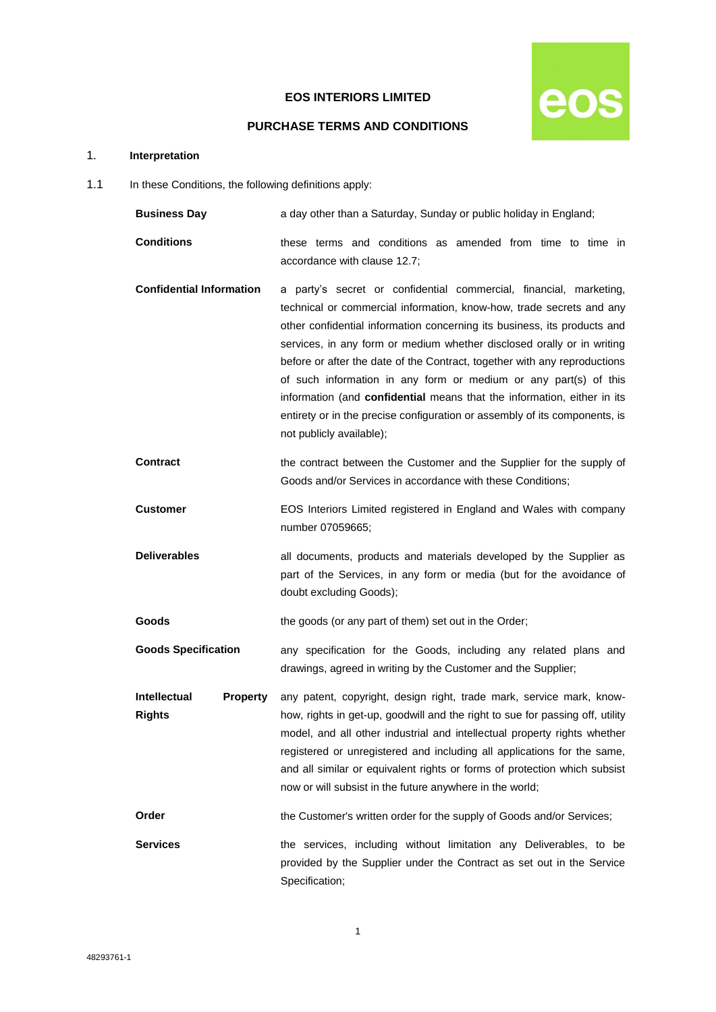# **EOS INTERIORS LIMITED**



# **PURCHASE TERMS AND CONDITIONS**

# 1. **Interpretation**

1.1 In these Conditions, the following definitions apply:

| <b>Business Day</b>                              | a day other than a Saturday, Sunday or public holiday in England;                                                                                                                                                                                                                                                                                                                                                                                                                                                                                                                                                                      |
|--------------------------------------------------|----------------------------------------------------------------------------------------------------------------------------------------------------------------------------------------------------------------------------------------------------------------------------------------------------------------------------------------------------------------------------------------------------------------------------------------------------------------------------------------------------------------------------------------------------------------------------------------------------------------------------------------|
| <b>Conditions</b>                                | these terms and conditions as amended from time to time in<br>accordance with clause 12.7;                                                                                                                                                                                                                                                                                                                                                                                                                                                                                                                                             |
| <b>Confidential Information</b>                  | a party's secret or confidential commercial, financial, marketing,<br>technical or commercial information, know-how, trade secrets and any<br>other confidential information concerning its business, its products and<br>services, in any form or medium whether disclosed orally or in writing<br>before or after the date of the Contract, together with any reproductions<br>of such information in any form or medium or any part(s) of this<br>information (and confidential means that the information, either in its<br>entirety or in the precise configuration or assembly of its components, is<br>not publicly available); |
| <b>Contract</b>                                  | the contract between the Customer and the Supplier for the supply of<br>Goods and/or Services in accordance with these Conditions;                                                                                                                                                                                                                                                                                                                                                                                                                                                                                                     |
| <b>Customer</b>                                  | EOS Interiors Limited registered in England and Wales with company<br>number 07059665;                                                                                                                                                                                                                                                                                                                                                                                                                                                                                                                                                 |
| <b>Deliverables</b>                              | all documents, products and materials developed by the Supplier as<br>part of the Services, in any form or media (but for the avoidance of<br>doubt excluding Goods);                                                                                                                                                                                                                                                                                                                                                                                                                                                                  |
| Goods                                            | the goods (or any part of them) set out in the Order;                                                                                                                                                                                                                                                                                                                                                                                                                                                                                                                                                                                  |
| <b>Goods Specification</b>                       | any specification for the Goods, including any related plans and<br>drawings, agreed in writing by the Customer and the Supplier;                                                                                                                                                                                                                                                                                                                                                                                                                                                                                                      |
| Intellectual<br><b>Property</b><br><b>Rights</b> | any patent, copyright, design right, trade mark, service mark, know-<br>how, rights in get-up, goodwill and the right to sue for passing off, utility<br>model, and all other industrial and intellectual property rights whether<br>registered or unregistered and including all applications for the same,<br>and all similar or equivalent rights or forms of protection which subsist<br>now or will subsist in the future anywhere in the world;                                                                                                                                                                                  |
| Order                                            | the Customer's written order for the supply of Goods and/or Services;                                                                                                                                                                                                                                                                                                                                                                                                                                                                                                                                                                  |
| <b>Services</b>                                  | the services, including without limitation any Deliverables, to be<br>provided by the Supplier under the Contract as set out in the Service<br>Specification;                                                                                                                                                                                                                                                                                                                                                                                                                                                                          |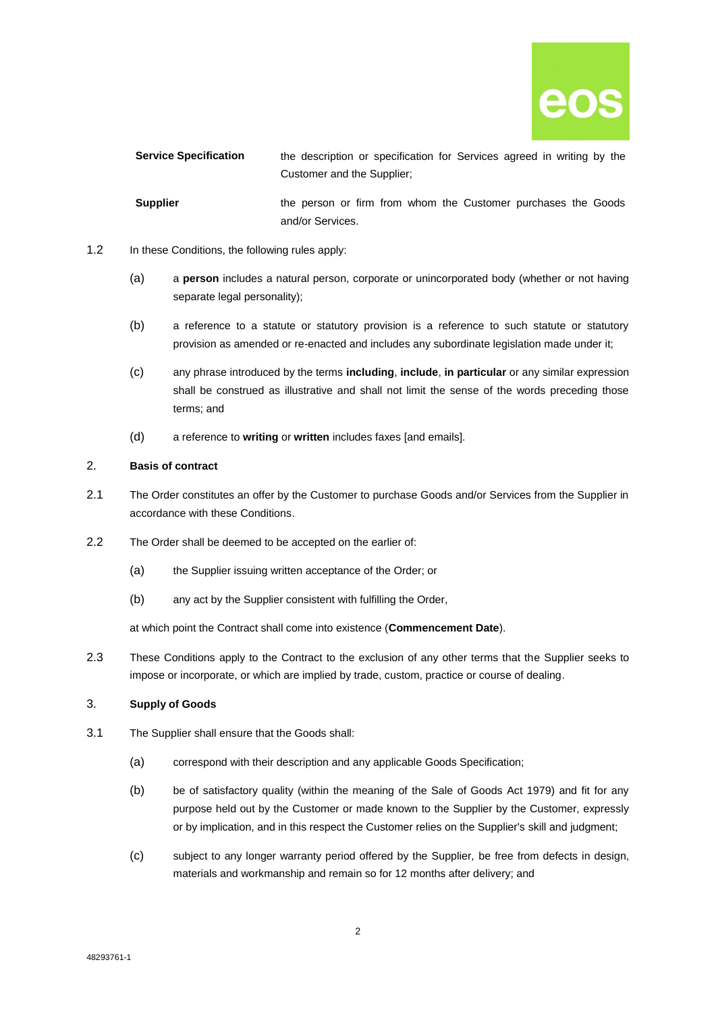

| <b>Service Specification</b> | the description or specification for Services agreed in writing by the |
|------------------------------|------------------------------------------------------------------------|
|                              | Customer and the Supplier;                                             |
| <b>Supplier</b>              | the person or firm from whom the Customer purchases the Goods          |
|                              | and/or Services.                                                       |

- 1.2 In these Conditions, the following rules apply:
	- (a) a **person** includes a natural person, corporate or unincorporated body (whether or not having separate legal personality);
	- (b) a reference to a statute or statutory provision is a reference to such statute or statutory provision as amended or re-enacted and includes any subordinate legislation made under it;
	- (c) any phrase introduced by the terms **including**, **include**, **in particular** or any similar expression shall be construed as illustrative and shall not limit the sense of the words preceding those terms; and
	- (d) a reference to **writing** or **written** includes faxes [and emails].

## 2. **Basis of contract**

- 2.1 The Order constitutes an offer by the Customer to purchase Goods and/or Services from the Supplier in accordance with these Conditions.
- 2.2 The Order shall be deemed to be accepted on the earlier of:
	- (a) the Supplier issuing written acceptance of the Order; or
	- (b) any act by the Supplier consistent with fulfilling the Order,

at which point the Contract shall come into existence (**Commencement Date**).

2.3 These Conditions apply to the Contract to the exclusion of any other terms that the Supplier seeks to impose or incorporate, or which are implied by trade, custom, practice or course of dealing.

# 3. **Supply of Goods**

- <span id="page-1-1"></span><span id="page-1-0"></span>3.1 The Supplier shall ensure that the Goods shall:
	- (a) correspond with their description and any applicable Goods Specification;
	- (b) be of satisfactory quality (within the meaning of the Sale of Goods Act 1979) and fit for any purpose held out by the Customer or made known to the Supplier by the Customer, expressly or by implication, and in this respect the Customer relies on the Supplier's skill and judgment;
	- (c) subject to any longer warranty period offered by the Supplier, be free from defects in design, materials and workmanship and remain so for 12 months after delivery; and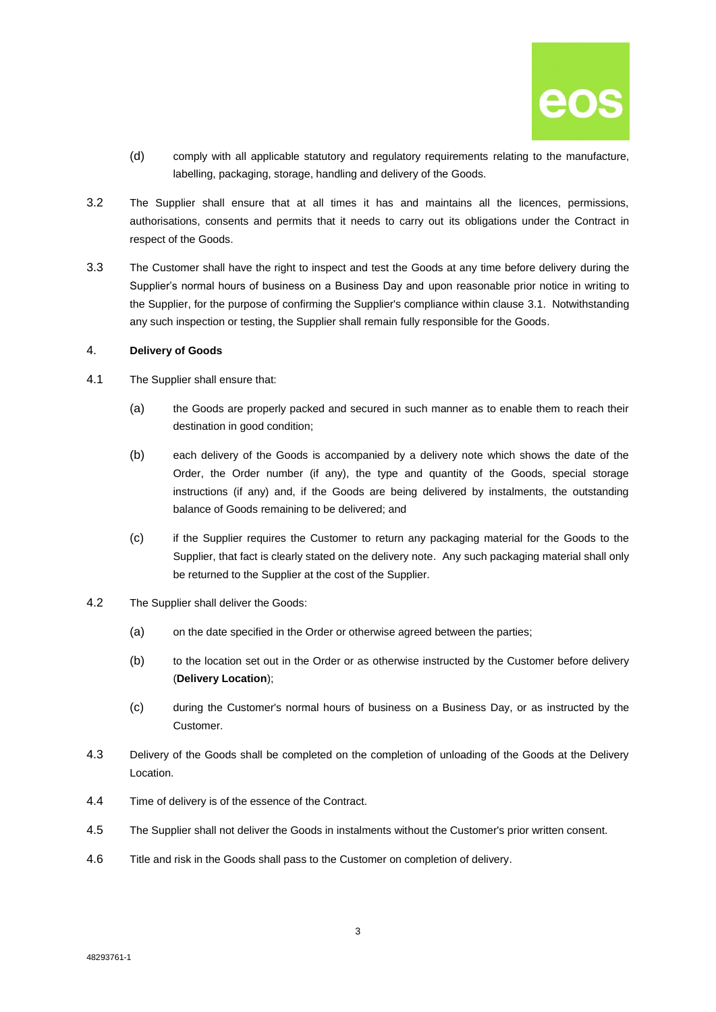

- (d) comply with all applicable statutory and regulatory requirements relating to the manufacture, labelling, packaging, storage, handling and delivery of the Goods.
- 3.2 The Supplier shall ensure that at all times it has and maintains all the licences, permissions, authorisations, consents and permits that it needs to carry out its obligations under the Contract in respect of the Goods.
- 3.3 The Customer shall have the right to inspect and test the Goods at any time before delivery during the Supplier's normal hours of business on a Business Day and upon reasonable prior notice in writing to the Supplier, for the purpose of confirming the Supplier's compliance within clause [3.1.](#page-1-0) Notwithstanding any such inspection or testing, the Supplier shall remain fully responsible for the Goods.

## 4. **Delivery of Goods**

- 4.1 The Supplier shall ensure that:
	- (a) the Goods are properly packed and secured in such manner as to enable them to reach their destination in good condition;
	- (b) each delivery of the Goods is accompanied by a delivery note which shows the date of the Order, the Order number (if any), the type and quantity of the Goods, special storage instructions (if any) and, if the Goods are being delivered by instalments, the outstanding balance of Goods remaining to be delivered; and
	- (c) if the Supplier requires the Customer to return any packaging material for the Goods to the Supplier, that fact is clearly stated on the delivery note. Any such packaging material shall only be returned to the Supplier at the cost of the Supplier.
- 4.2 The Supplier shall deliver the Goods:
	- (a) on the date specified in the Order or otherwise agreed between the parties;
	- (b) to the location set out in the Order or as otherwise instructed by the Customer before delivery (**Delivery Location**);
	- (c) during the Customer's normal hours of business on a Business Day, or as instructed by the Customer.
- 4.3 Delivery of the Goods shall be completed on the completion of unloading of the Goods at the Delivery Location.
- 4.4 Time of delivery is of the essence of the Contract.
- 4.5 The Supplier shall not deliver the Goods in instalments without the Customer's prior written consent.
- 4.6 Title and risk in the Goods shall pass to the Customer on completion of delivery.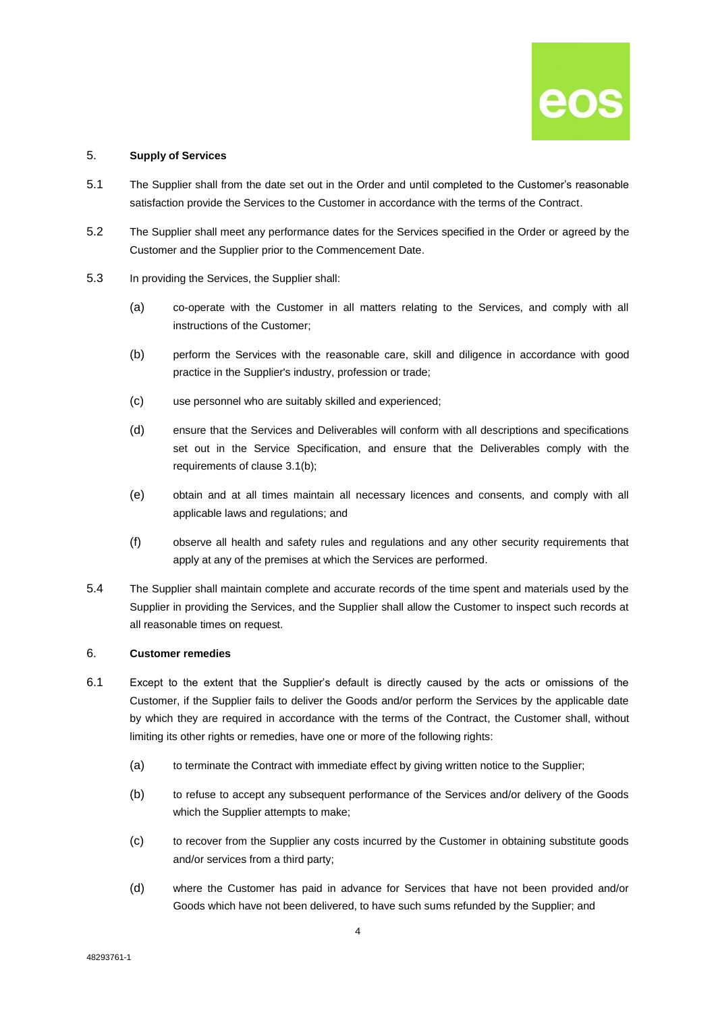

### 5. **Supply of Services**

- 5.1 The Supplier shall from the date set out in the Order and until completed to the Customer's reasonable satisfaction provide the Services to the Customer in accordance with the terms of the Contract.
- 5.2 The Supplier shall meet any performance dates for the Services specified in the Order or agreed by the Customer and the Supplier prior to the Commencement Date.
- <span id="page-3-0"></span>5.3 In providing the Services, the Supplier shall:
	- (a) co-operate with the Customer in all matters relating to the Services, and comply with all instructions of the Customer;
	- (b) perform the Services with the reasonable care, skill and diligence in accordance with good practice in the Supplier's industry, profession or trade;
	- (c) use personnel who are suitably skilled and experienced;
	- (d) ensure that the Services and Deliverables will conform with all descriptions and specifications set out in the Service Specification, and ensure that the Deliverables comply with the requirements of claus[e 3.1\(b\);](#page-1-1)
	- (e) obtain and at all times maintain all necessary licences and consents, and comply with all applicable laws and regulations; and
	- (f) observe all health and safety rules and regulations and any other security requirements that apply at any of the premises at which the Services are performed.
- 5.4 The Supplier shall maintain complete and accurate records of the time spent and materials used by the Supplier in providing the Services, and the Supplier shall allow the Customer to inspect such records at all reasonable times on request.

## 6. **Customer remedies**

- 6.1 Except to the extent that the Supplier's default is directly caused by the acts or omissions of the Customer, if the Supplier fails to deliver the Goods and/or perform the Services by the applicable date by which they are required in accordance with the terms of the Contract, the Customer shall, without limiting its other rights or remedies, have one or more of the following rights:
	- (a) to terminate the Contract with immediate effect by giving written notice to the Supplier;
	- (b) to refuse to accept any subsequent performance of the Services and/or delivery of the Goods which the Supplier attempts to make;
	- (c) to recover from the Supplier any costs incurred by the Customer in obtaining substitute goods and/or services from a third party;
	- (d) where the Customer has paid in advance for Services that have not been provided and/or Goods which have not been delivered, to have such sums refunded by the Supplier; and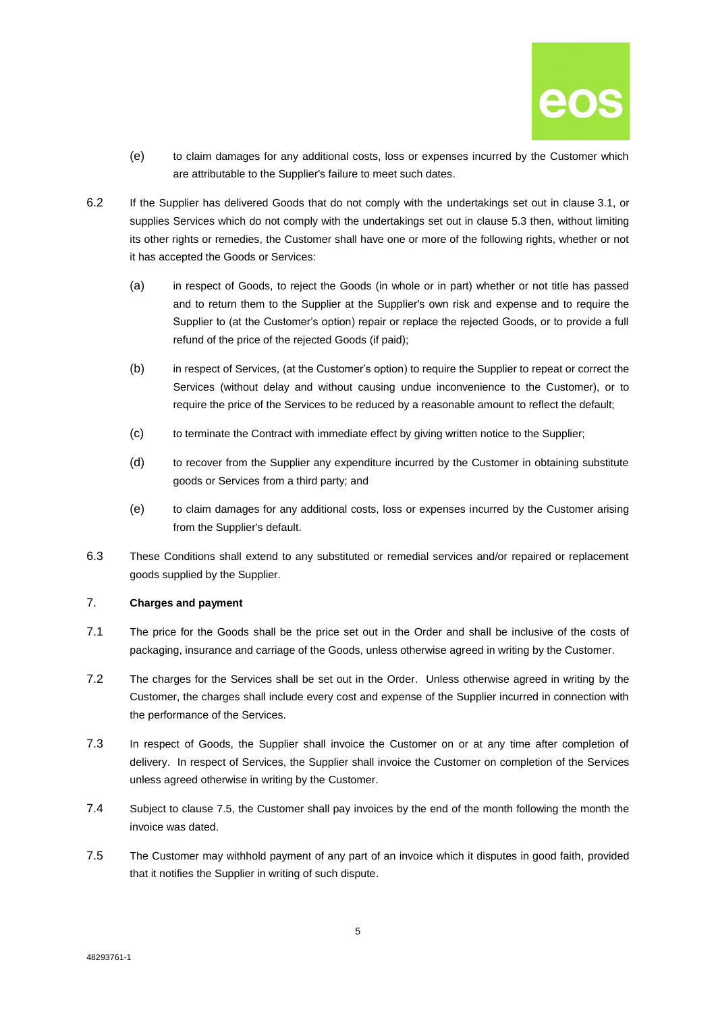

- (e) to claim damages for any additional costs, loss or expenses incurred by the Customer which are attributable to the Supplier's failure to meet such dates.
- 6.2 If the Supplier has delivered Goods that do not comply with the undertakings set out in clause [3.1,](#page-1-0) or supplies Services which do not comply with the undertakings set out in clause [5.3](#page-3-0) then, without limiting its other rights or remedies, the Customer shall have one or more of the following rights, whether or not it has accepted the Goods or Services:
	- (a) in respect of Goods, to reject the Goods (in whole or in part) whether or not title has passed and to return them to the Supplier at the Supplier's own risk and expense and to require the Supplier to (at the Customer's option) repair or replace the rejected Goods, or to provide a full refund of the price of the rejected Goods (if paid);
	- (b) in respect of Services, (at the Customer's option) to require the Supplier to repeat or correct the Services (without delay and without causing undue inconvenience to the Customer), or to require the price of the Services to be reduced by a reasonable amount to reflect the default;
	- (c) to terminate the Contract with immediate effect by giving written notice to the Supplier;
	- (d) to recover from the Supplier any expenditure incurred by the Customer in obtaining substitute goods or Services from a third party; and
	- (e) to claim damages for any additional costs, loss or expenses incurred by the Customer arising from the Supplier's default.
- 6.3 These Conditions shall extend to any substituted or remedial services and/or repaired or replacement goods supplied by the Supplier.

# 7. **Charges and payment**

- 7.1 The price for the Goods shall be the price set out in the Order and shall be inclusive of the costs of packaging, insurance and carriage of the Goods, unless otherwise agreed in writing by the Customer.
- 7.2 The charges for the Services shall be set out in the Order. Unless otherwise agreed in writing by the Customer, the charges shall include every cost and expense of the Supplier incurred in connection with the performance of the Services.
- 7.3 In respect of Goods, the Supplier shall invoice the Customer on or at any time after completion of delivery. In respect of Services, the Supplier shall invoice the Customer on completion of the Services unless agreed otherwise in writing by the Customer.
- 7.4 Subject to clause [7.5,](#page-4-0) the Customer shall pay invoices by the end of the month following the month the invoice was dated.
- <span id="page-4-0"></span>7.5 The Customer may withhold payment of any part of an invoice which it disputes in good faith, provided that it notifies the Supplier in writing of such dispute.

48293761-1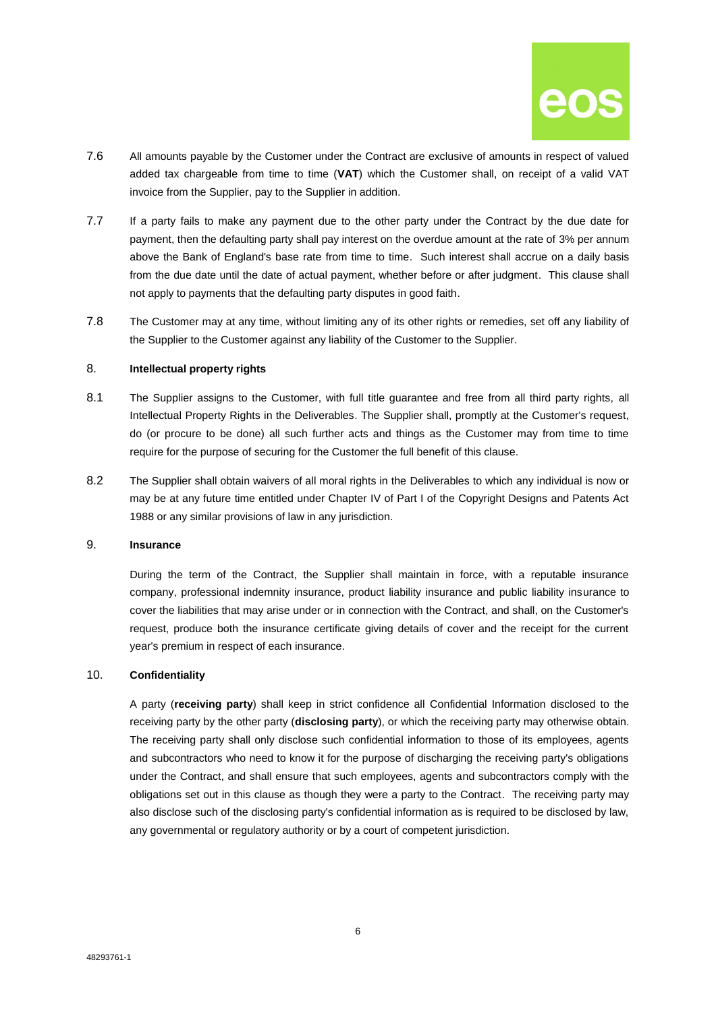

- 7.6 All amounts payable by the Customer under the Contract are exclusive of amounts in respect of valued added tax chargeable from time to time (**VAT**) which the Customer shall, on receipt of a valid VAT invoice from the Supplier, pay to the Supplier in addition.
- 7.7 If a party fails to make any payment due to the other party under the Contract by the due date for payment, then the defaulting party shall pay interest on the overdue amount at the rate of 3% per annum above the Bank of England's base rate from time to time. Such interest shall accrue on a daily basis from the due date until the date of actual payment, whether before or after judgment. This clause shall not apply to payments that the defaulting party disputes in good faith.
- 7.8 The Customer may at any time, without limiting any of its other rights or remedies, set off any liability of the Supplier to the Customer against any liability of the Customer to the Supplier.

#### 8. **Intellectual property rights**

- 8.1 The Supplier assigns to the Customer, with full title guarantee and free from all third party rights, all Intellectual Property Rights in the Deliverables. The Supplier shall, promptly at the Customer's request, do (or procure to be done) all such further acts and things as the Customer may from time to time require for the purpose of securing for the Customer the full benefit of this clause.
- 8.2 The Supplier shall obtain waivers of all moral rights in the Deliverables to which any individual is now or may be at any future time entitled under Chapter IV of Part I of the Copyright Designs and Patents Act 1988 or any similar provisions of law in any jurisdiction.

# 9. **Insurance**

During the term of the Contract, the Supplier shall maintain in force, with a reputable insurance company, professional indemnity insurance, product liability insurance and public liability insurance to cover the liabilities that may arise under or in connection with the Contract, and shall, on the Customer's request, produce both the insurance certificate giving details of cover and the receipt for the current year's premium in respect of each insurance.

#### 10. **Confidentiality**

A party (**receiving party**) shall keep in strict confidence all Confidential Information disclosed to the receiving party by the other party (**disclosing party**), or which the receiving party may otherwise obtain. The receiving party shall only disclose such confidential information to those of its employees, agents and subcontractors who need to know it for the purpose of discharging the receiving party's obligations under the Contract, and shall ensure that such employees, agents and subcontractors comply with the obligations set out in this clause as though they were a party to the Contract. The receiving party may also disclose such of the disclosing party's confidential information as is required to be disclosed by law, any governmental or regulatory authority or by a court of competent jurisdiction.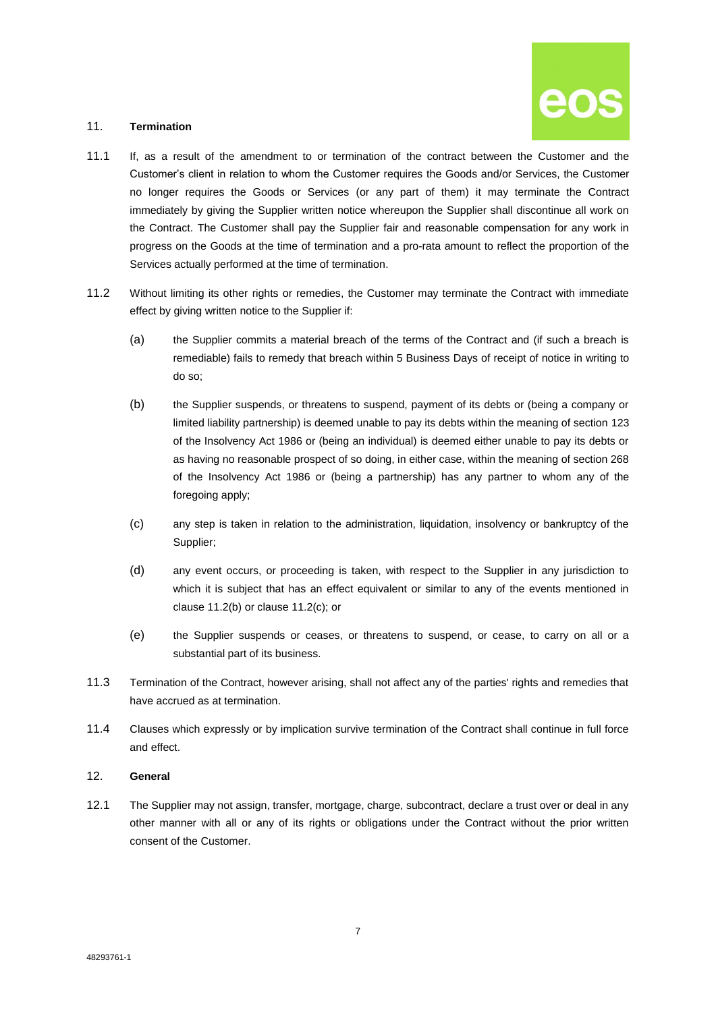

### 11. **Termination**

- 11.1 If, as a result of the amendment to or termination of the contract between the Customer and the Customer's client in relation to whom the Customer requires the Goods and/or Services, the Customer no longer requires the Goods or Services (or any part of them) it may terminate the Contract immediately by giving the Supplier written notice whereupon the Supplier shall discontinue all work on the Contract. The Customer shall pay the Supplier fair and reasonable compensation for any work in progress on the Goods at the time of termination and a pro-rata amount to reflect the proportion of the Services actually performed at the time of termination.
- <span id="page-6-1"></span><span id="page-6-0"></span>11.2 Without limiting its other rights or remedies, the Customer may terminate the Contract with immediate effect by giving written notice to the Supplier if:
	- (a) the Supplier commits a material breach of the terms of the Contract and (if such a breach is remediable) fails to remedy that breach within 5 Business Days of receipt of notice in writing to do so;
	- (b) the Supplier suspends, or threatens to suspend, payment of its debts or (being a company or limited liability partnership) is deemed unable to pay its debts within the meaning of section 123 of the Insolvency Act 1986 or (being an individual) is deemed either unable to pay its debts or as having no reasonable prospect of so doing, in either case, within the meaning of section 268 of the Insolvency Act 1986 or (being a partnership) has any partner to whom any of the foregoing apply;
	- (c) any step is taken in relation to the administration, liquidation, insolvency or bankruptcy of the Supplier;
	- (d) any event occurs, or proceeding is taken, with respect to the Supplier in any jurisdiction to which it is subject that has an effect equivalent or similar to any of the events mentioned in claus[e 11.2\(b\)](#page-6-0) or clause [11.2\(c\);](#page-6-1) or
	- (e) the Supplier suspends or ceases, or threatens to suspend, or cease, to carry on all or a substantial part of its business.
- 11.3 Termination of the Contract, however arising, shall not affect any of the parties' rights and remedies that have accrued as at termination.
- 11.4 Clauses which expressly or by implication survive termination of the Contract shall continue in full force and effect.

### 12. **General**

12.1 The Supplier may not assign, transfer, mortgage, charge, subcontract, declare a trust over or deal in any other manner with all or any of its rights or obligations under the Contract without the prior written consent of the Customer.